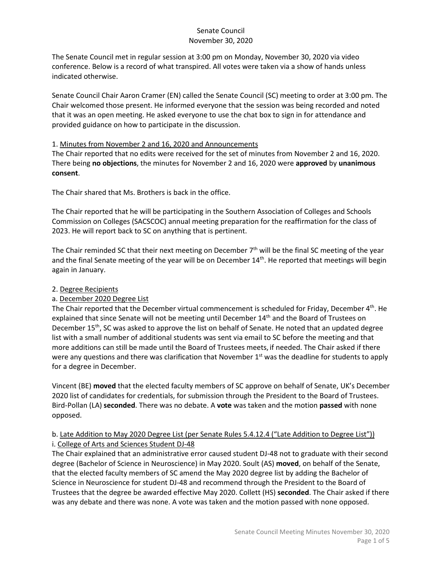The Senate Council met in regular session at 3:00 pm on Monday, November 30, 2020 via video conference. Below is a record of what transpired. All votes were taken via a show of hands unless indicated otherwise.

Senate Council Chair Aaron Cramer (EN) called the Senate Council (SC) meeting to order at 3:00 pm. The Chair welcomed those present. He informed everyone that the session was being recorded and noted that it was an open meeting. He asked everyone to use the chat box to sign in for attendance and provided guidance on how to participate in the discussion.

#### 1. Minutes from November 2 and 16, 2020 and Announcements

The Chair reported that no edits were received for the set of minutes from November 2 and 16, 2020. There being **no objections**, the minutes for November 2 and 16, 2020 were **approved** by **unanimous consent**.

The Chair shared that Ms. Brothers is back in the office.

The Chair reported that he will be participating in the Southern Association of Colleges and Schools Commission on Colleges (SACSCOC) annual meeting preparation for the reaffirmation for the class of 2023. He will report back to SC on anything that is pertinent.

The Chair reminded SC that their next meeting on December 7<sup>th</sup> will be the final SC meeting of the year and the final Senate meeting of the year will be on December  $14<sup>th</sup>$ . He reported that meetings will begin again in January.

## 2. Degree Recipients

# a. December 2020 Degree List

The Chair reported that the December virtual commencement is scheduled for Friday, December  $4<sup>th</sup>$ . He explained that since Senate will not be meeting until December 14<sup>th</sup> and the Board of Trustees on December 15<sup>th</sup>, SC was asked to approve the list on behalf of Senate. He noted that an updated degree list with a small number of additional students was sent via email to SC before the meeting and that more additions can still be made until the Board of Trustees meets, if needed. The Chair asked if there were any questions and there was clarification that November 1<sup>st</sup> was the deadline for students to apply for a degree in December.

Vincent (BE) **moved** that the elected faculty members of SC approve on behalf of Senate, UK's December 2020 list of candidates for credentials, for submission through the President to the Board of Trustees. Bird-Pollan (LA) **seconded**. There was no debate. A **vote** was taken and the motion **passed** with none opposed.

## b. Late Addition to May 2020 Degree List (per Senate Rules 5.4.12.4 ("Late Addition to Degree List")) i. College of Arts and Sciences Student DJ-48

The Chair explained that an administrative error caused student DJ-48 not to graduate with their second degree (Bachelor of Science in Neuroscience) in May 2020. Soult (AS) **moved**, on behalf of the Senate, that the elected faculty members of SC amend the May 2020 degree list by adding the Bachelor of Science in Neuroscience for student DJ-48 and recommend through the President to the Board of Trustees that the degree be awarded effective May 2020. Collett (HS) **seconded**. The Chair asked if there was any debate and there was none. A vote was taken and the motion passed with none opposed.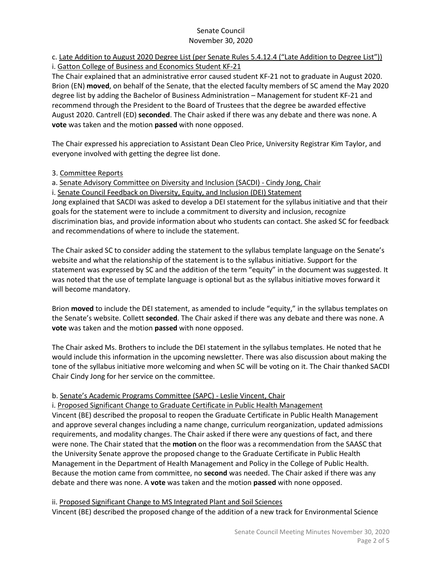# c. Late Addition to August 2020 Degree List (per Senate Rules 5.4.12.4 ("Late Addition to Degree List")) i. Gatton College of Business and Economics Student KF-21

The Chair explained that an administrative error caused student KF-21 not to graduate in August 2020. Brion (EN) **moved**, on behalf of the Senate, that the elected faculty members of SC amend the May 2020 degree list by adding the Bachelor of Business Administration – Management for student KF-21 and recommend through the President to the Board of Trustees that the degree be awarded effective August 2020. Cantrell (ED) **seconded**. The Chair asked if there was any debate and there was none. A **vote** was taken and the motion **passed** with none opposed.

The Chair expressed his appreciation to Assistant Dean Cleo Price, University Registrar Kim Taylor, and everyone involved with getting the degree list done.

# 3. Committee Reports

a. Senate Advisory Committee on Diversity and Inclusion (SACDI) - Cindy Jong, Chair

i. Senate Council Feedback on Diversity, Equity, and Inclusion (DEI) Statement

Jong explained that SACDI was asked to develop a DEI statement for the syllabus initiative and that their goals for the statement were to include a commitment to diversity and inclusion, recognize discrimination bias, and provide information about who students can contact. She asked SC for feedback and recommendations of where to include the statement.

The Chair asked SC to consider adding the statement to the syllabus template language on the Senate's website and what the relationship of the statement is to the syllabus initiative. Support for the statement was expressed by SC and the addition of the term "equity" in the document was suggested. It was noted that the use of template language is optional but as the syllabus initiative moves forward it will become mandatory.

Brion **moved** to include the DEI statement, as amended to include "equity," in the syllabus templates on the Senate's website. Collett **seconded**. The Chair asked if there was any debate and there was none. A **vote** was taken and the motion **passed** with none opposed.

The Chair asked Ms. Brothers to include the DEI statement in the syllabus templates. He noted that he would include this information in the upcoming newsletter. There was also discussion about making the tone of the syllabus initiative more welcoming and when SC will be voting on it. The Chair thanked SACDI Chair Cindy Jong for her service on the committee.

# b. Senate's Academic Programs Committee (SAPC) - Leslie Vincent, Chair

i. Proposed Significant Change to Graduate Certificate in Public Health Management Vincent (BE) described the proposal to reopen the Graduate Certificate in Public Health Management and approve several changes including a name change, curriculum reorganization, updated admissions requirements, and modality changes. The Chair asked if there were any questions of fact, and there were none. The Chair stated that the **motion** on the floor was a recommendation from the SAASC that the University Senate approve the proposed change to the Graduate Certificate in Public Health Management in the Department of Health Management and Policy in the College of Public Health. Because the motion came from committee, no **second** was needed. The Chair asked if there was any debate and there was none. A **vote** was taken and the motion **passed** with none opposed.

# ii. Proposed Significant Change to MS Integrated Plant and Soil Sciences

Vincent (BE) described the proposed change of the addition of a new track for Environmental Science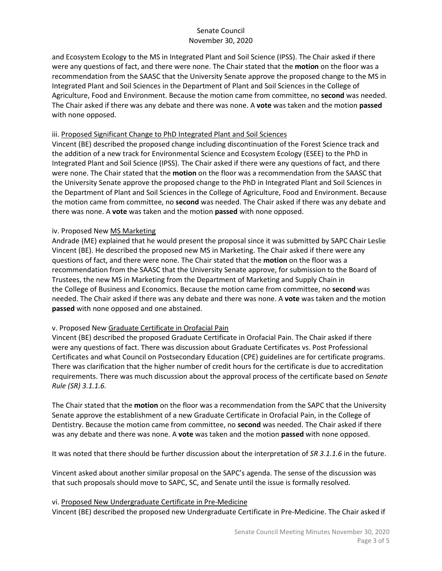and Ecosystem Ecology to the MS in Integrated Plant and Soil Science (IPSS). The Chair asked if there were any questions of fact, and there were none. The Chair stated that the **motion** on the floor was a recommendation from the SAASC that the University Senate approve the proposed change to the MS in Integrated Plant and Soil Sciences in the Department of Plant and Soil Sciences in the College of Agriculture, Food and Environment. Because the motion came from committee, no **second** was needed. The Chair asked if there was any debate and there was none. A **vote** was taken and the motion **passed** with none opposed.

#### iii. Proposed Significant Change to PhD Integrated Plant and Soil Sciences

Vincent (BE) described the proposed change including discontinuation of the Forest Science track and the addition of a new track for Environmental Science and Ecosystem Ecology (ESEE) to the PhD in Integrated Plant and Soil Science (IPSS). The Chair asked if there were any questions of fact, and there were none. The Chair stated that the **motion** on the floor was a recommendation from the SAASC that the University Senate approve the proposed change to the PhD in Integrated Plant and Soil Sciences in the Department of Plant and Soil Sciences in the College of Agriculture, Food and Environment. Because the motion came from committee, no **second** was needed. The Chair asked if there was any debate and there was none. A **vote** was taken and the motion **passed** with none opposed.

#### iv. Proposed New MS Marketing

Andrade (ME) explained that he would present the proposal since it was submitted by SAPC Chair Leslie Vincent (BE). He described the proposed new MS in Marketing. The Chair asked if there were any questions of fact, and there were none. The Chair stated that the **motion** on the floor was a recommendation from the SAASC that the University Senate approve, for submission to the Board of Trustees, the new MS in Marketing from the Department of Marketing and Supply Chain in the College of Business and Economics. Because the motion came from committee, no **second** was needed. The Chair asked if there was any debate and there was none. A **vote** was taken and the motion **passed** with none opposed and one abstained.

## v. Proposed New Graduate Certificate in Orofacial Pain

Vincent (BE) described the proposed Graduate Certificate in Orofacial Pain. The Chair asked if there were any questions of fact. There was discussion about Graduate Certificates vs. Post Professional Certificates and what Council on Postsecondary Education (CPE) guidelines are for certificate programs. There was clarification that the higher number of credit hours for the certificate is due to accreditation requirements. There was much discussion about the approval process of the certificate based on *Senate Rule (SR) 3.1.1.6.* 

The Chair stated that the **motion** on the floor was a recommendation from the SAPC that the University Senate approve the establishment of a new Graduate Certificate in Orofacial Pain, in the College of Dentistry. Because the motion came from committee, no **second** was needed. The Chair asked if there was any debate and there was none. A **vote** was taken and the motion **passed** with none opposed.

It was noted that there should be further discussion about the interpretation of *SR 3.1.1.6* in the future.

Vincent asked about another similar proposal on the SAPC's agenda. The sense of the discussion was that such proposals should move to SAPC, SC, and Senate until the issue is formally resolved.

#### vi. Proposed New Undergraduate Certificate in Pre-Medicine

Vincent (BE) described the proposed new Undergraduate Certificate in Pre-Medicine. The Chair asked if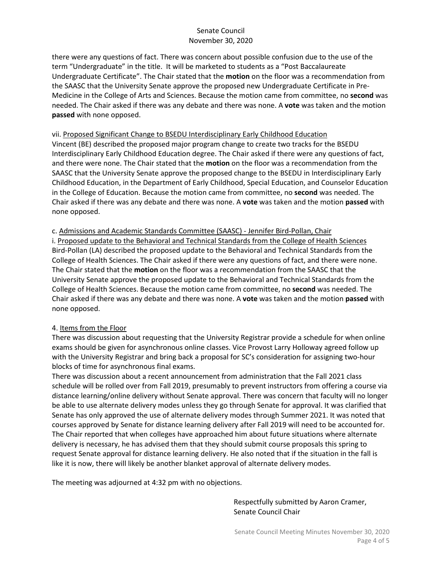there were any questions of fact. There was concern about possible confusion due to the use of the term "Undergraduate" in the title. It will be marketed to students as a "Post Baccalaureate Undergraduate Certificate". The Chair stated that the **motion** on the floor was a recommendation from the SAASC that the University Senate approve the proposed new Undergraduate Certificate in Pre-Medicine in the College of Arts and Sciences. Because the motion came from committee, no **second** was needed. The Chair asked if there was any debate and there was none. A **vote** was taken and the motion **passed** with none opposed.

#### vii. Proposed Significant Change to BSEDU Interdisciplinary Early Childhood Education

Vincent (BE) described the proposed major program change to create two tracks for the BSEDU Interdisciplinary Early Childhood Education degree. The Chair asked if there were any questions of fact, and there were none. The Chair stated that the **motion** on the floor was a recommendation from the SAASC that the University Senate approve the proposed change to the BSEDU in Interdisciplinary Early Childhood Education, in the Department of Early Childhood, Special Education, and Counselor Education in the College of Education. Because the motion came from committee, no **second** was needed. The Chair asked if there was any debate and there was none. A **vote** was taken and the motion **passed** with none opposed.

#### c. Admissions and Academic Standards Committee (SAASC) - Jennifer Bird-Pollan, Chair

i. Proposed update to the Behavioral and Technical Standards from the College of Health Sciences Bird-Pollan (LA) described the proposed update to the Behavioral and Technical Standards from the College of Health Sciences. The Chair asked if there were any questions of fact, and there were none. The Chair stated that the **motion** on the floor was a recommendation from the SAASC that the University Senate approve the proposed update to the Behavioral and Technical Standards from the College of Health Sciences. Because the motion came from committee, no **second** was needed. The Chair asked if there was any debate and there was none. A **vote** was taken and the motion **passed** with none opposed.

#### 4. Items from the Floor

There was discussion about requesting that the University Registrar provide a schedule for when online exams should be given for asynchronous online classes. Vice Provost Larry Holloway agreed follow up with the University Registrar and bring back a proposal for SC's consideration for assigning two-hour blocks of time for asynchronous final exams.

There was discussion about a recent announcement from administration that the Fall 2021 class schedule will be rolled over from Fall 2019, presumably to prevent instructors from offering a course via distance learning/online delivery without Senate approval. There was concern that faculty will no longer be able to use alternate delivery modes unless they go through Senate for approval. It was clarified that Senate has only approved the use of alternate delivery modes through Summer 2021. It was noted that courses approved by Senate for distance learning delivery after Fall 2019 will need to be accounted for. The Chair reported that when colleges have approached him about future situations where alternate delivery is necessary, he has advised them that they should submit course proposals this spring to request Senate approval for distance learning delivery. He also noted that if the situation in the fall is like it is now, there will likely be another blanket approval of alternate delivery modes.

The meeting was adjourned at 4:32 pm with no objections.

Respectfully submitted by Aaron Cramer, Senate Council Chair